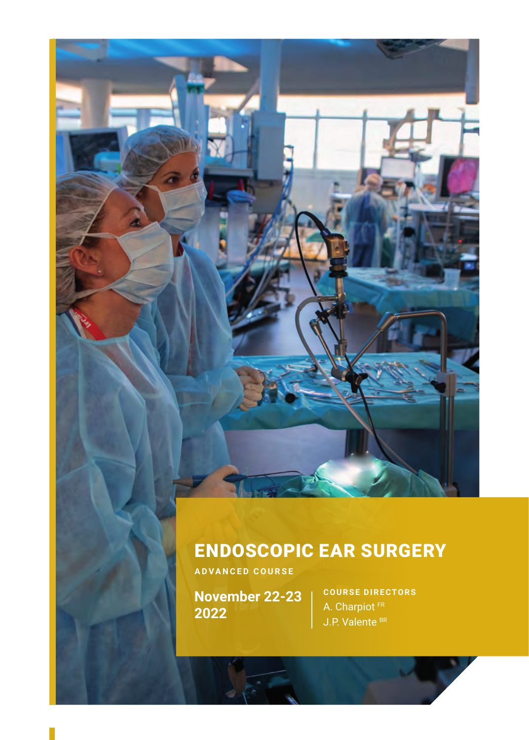### ENDOSCOPIC EAR SURGERY

**ADVANCED COURSE**

**November 22-23 2022**

**COURSE DIRECTORS** A. Charpiot<sup>FR</sup> J.P. Valente BR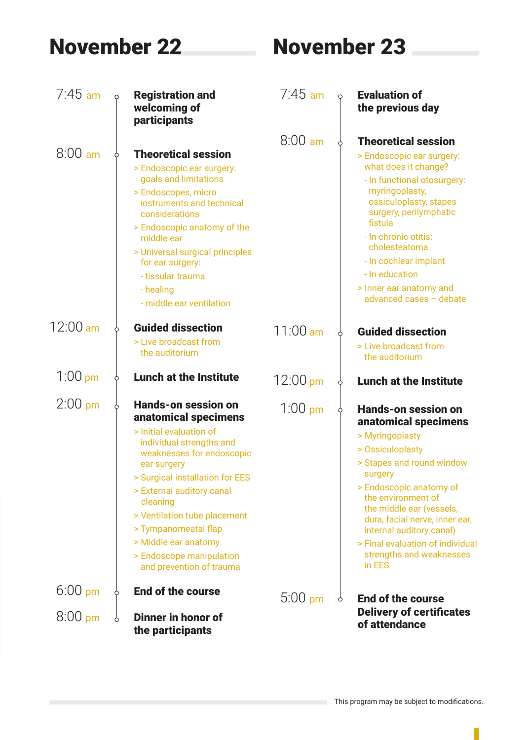# November 22 November 23

| $7:45$ am |   | <b>Registration and</b><br>welcoming of<br>participants                                                                                                                                                                                                                                                                                                            | $7:45$ am          |   | <b>Evaluation of</b><br>the previous day                                                                                                                                                                                                                                                                                                        |
|-----------|---|--------------------------------------------------------------------------------------------------------------------------------------------------------------------------------------------------------------------------------------------------------------------------------------------------------------------------------------------------------------------|--------------------|---|-------------------------------------------------------------------------------------------------------------------------------------------------------------------------------------------------------------------------------------------------------------------------------------------------------------------------------------------------|
| $8:00$ am |   | <b>Theoretical session</b><br>> Endoscopic ear surgery:<br>goals and limitations<br>> Endoscopes, micro<br>instruments and technical<br>considerations<br>> Endoscopic anatomy of the<br>middle ear<br>> Universal surgical principles<br>for ear surgery:<br>- tissular trauma<br>- healing<br>- middle ear ventilation                                           | $8:00 \text{ am}$  |   | <b>Theoretical session</b><br>> Endoscopic ear surgery:<br>what does it change?<br>- In functional otosurgery:<br>myringoplasty,<br>ossiculoplasty, stapes<br>surgery, perilymphatic<br>fistula<br>- In chronic otitis:<br>cholesteatoma<br>- In cochlear implant<br>- In education<br>> Inner ear anatomy and<br>advanced cases - debate       |
| 12:00 am  |   | <b>Guided dissection</b><br>> Live broadcast from<br>the auditorium                                                                                                                                                                                                                                                                                                | $11:00$ am         |   | <b>Guided dissection</b><br>> Live broadcast from<br>the auditorium                                                                                                                                                                                                                                                                             |
| $1:00$ pm |   | <b>Lunch at the Institute</b>                                                                                                                                                                                                                                                                                                                                      | $12:00 \text{ pm}$ |   | <b>Lunch at the Institute</b>                                                                                                                                                                                                                                                                                                                   |
| $2:00$ pm |   | Hands-on session on<br>anatomical specimens<br>> Initial evaluation of<br>individual strengths and<br>weaknesses for endoscopic<br>ear surgery<br>> Surgical installation for EES<br>> External auditory canal<br>cleaning<br>> Ventilation tube placement<br>> Tympanomeatal flap<br>> Middle ear anatomy<br>> Endoscope manipulation<br>and prevention of trauma | $1:00$ pm          |   | Hands-on session on<br>anatomical specimens<br>> Myringoplasty<br>> Ossiculoplasty<br>> Stapes and round window<br>surgery<br>> Endoscopic anatomy of<br>the environment of<br>the middle ear (vessels,<br>dura, facial nerve, inner ear,<br>internal auditory canal)<br>> Final evaluation of individual<br>strengths and weaknesses<br>in EES |
| $6:00$ pm | ò | <b>End of the course</b>                                                                                                                                                                                                                                                                                                                                           | $5:00$ pm          | Ò | End of the course                                                                                                                                                                                                                                                                                                                               |
| $8:00$ pm |   | Dinner in honor of<br>the participants                                                                                                                                                                                                                                                                                                                             |                    |   | <b>Delivery of certificates</b><br>of attendance                                                                                                                                                                                                                                                                                                |